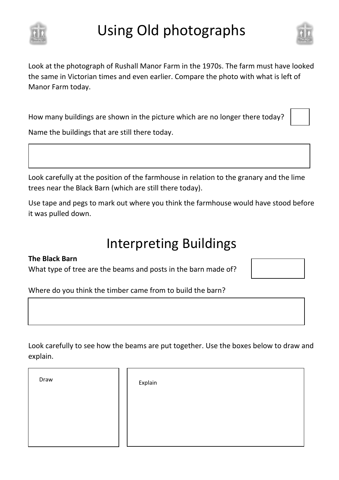

# Using Old photographs



Look at the photograph of Rushall Manor Farm in the 1970s. The farm must have looked the same in Victorian times and even earlier. Compare the photo with what is left of Manor Farm today.

How many buildings are shown in the picture which are no longer there today?

Name the buildings that are still there today.

Look carefully at the position of the farmhouse in relation to the granary and the lime trees near the Black Barn (which are still there today).

Use tape and pegs to mark out where you think the farmhouse would have stood before it was pulled down.

### Interpreting Buildings

#### **The Black Barn**

What type of tree are the beams and posts in the barn made of?



Where do you think the timber came from to build the barn?

Look carefully to see how the beams are put together. Use the boxes below to draw and explain.

Draw **Explain**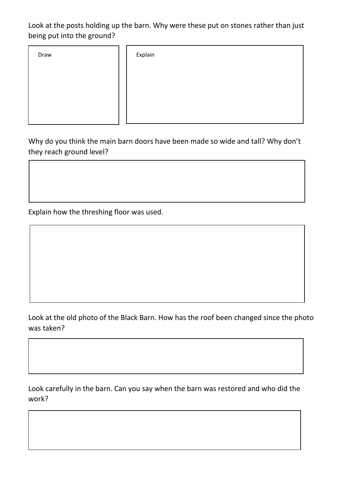Look at the posts holding up the barn. Why were these put on stones rather than just being put into the ground?

| Draw | Explain |
|------|---------|
|      |         |
|      |         |
|      |         |
|      |         |

Why do you think the main barn doors have been made so wide and tall? Why don't they reach ground level?

Explain how the threshing floor was used.

Look at the old photo of the Black Barn. How has the roof been changed since the photo was taken?

Look carefully in the barn. Can you say when the barn was restored and who did the work?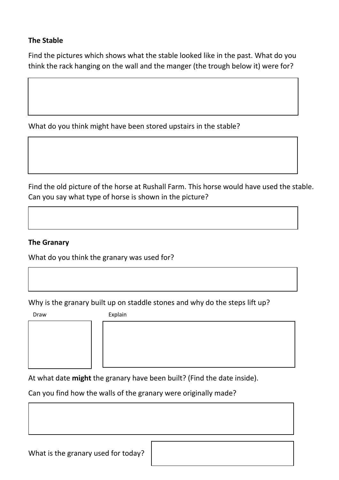#### **The Stable**

Find the pictures which shows what the stable looked like in the past. What do you think the rack hanging on the wall and the manger (the trough below it) were for?

What do you think might have been stored upstairs in the stable?

Find the old picture of the horse at Rushall Farm. This horse would have used the stable. Can you say what type of horse is shown in the picture?

#### **The Granary**

What do you think the granary was used for?

Why is the granary built up on staddle stones and why do the steps lift up?



Draw Explain

At what date **might** the granary have been built? (Find the date inside).

Can you find how the walls of the granary were originally made?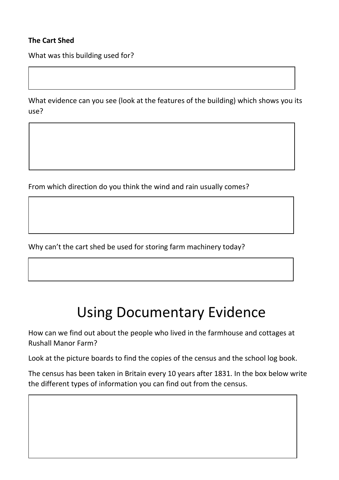#### **The Cart Shed**

What was this building used for?

What evidence can you see (look at the features of the building) which shows you its use?

From which direction do you think the wind and rain usually comes?

Why can't the cart shed be used for storing farm machinery today?

## Using Documentary Evidence

How can we find out about the people who lived in the farmhouse and cottages at Rushall Manor Farm?

Look at the picture boards to find the copies of the census and the school log book.

The census has been taken in Britain every 10 years after 1831. In the box below write the different types of information you can find out from the census.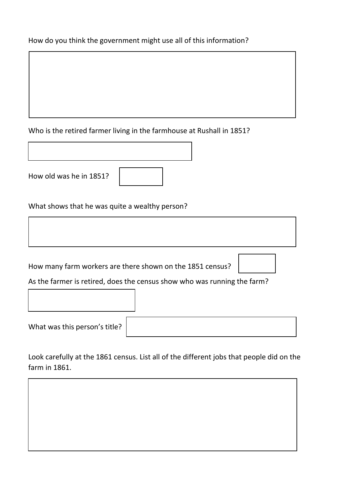#### How do you think the government might use all of this information?

#### Who is the retired farmer living in the farmhouse at Rushall in 1851?

| How old was he in 1851? |  |
|-------------------------|--|

#### What shows that he was quite a wealthy person?

How many farm workers are there shown on the 1851 census?

Г



As the farmer is retired, does the census show who was running the farm?

| What was this person's title? $ $ |
|-----------------------------------|
|-----------------------------------|

Look carefully at the 1861 census. List all of the different jobs that people did on the farm in 1861.